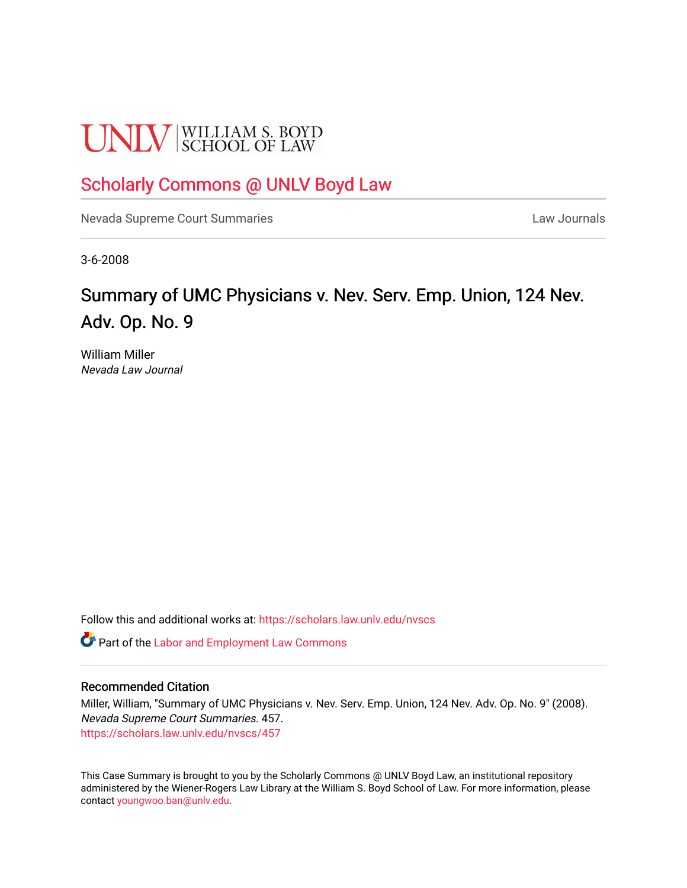# **UNLV** SCHOOL OF LAW

# [Scholarly Commons @ UNLV Boyd Law](https://scholars.law.unlv.edu/)

[Nevada Supreme Court Summaries](https://scholars.law.unlv.edu/nvscs) **Law Journals** Law Journals

3-6-2008

# Summary of UMC Physicians v. Nev. Serv. Emp. Union, 124 Nev. Adv. Op. No. 9

William Miller Nevada Law Journal

Follow this and additional works at: [https://scholars.law.unlv.edu/nvscs](https://scholars.law.unlv.edu/nvscs?utm_source=scholars.law.unlv.edu%2Fnvscs%2F457&utm_medium=PDF&utm_campaign=PDFCoverPages)

**C** Part of the [Labor and Employment Law Commons](http://network.bepress.com/hgg/discipline/909?utm_source=scholars.law.unlv.edu%2Fnvscs%2F457&utm_medium=PDF&utm_campaign=PDFCoverPages)

#### Recommended Citation

Miller, William, "Summary of UMC Physicians v. Nev. Serv. Emp. Union, 124 Nev. Adv. Op. No. 9" (2008). Nevada Supreme Court Summaries. 457. [https://scholars.law.unlv.edu/nvscs/457](https://scholars.law.unlv.edu/nvscs/457?utm_source=scholars.law.unlv.edu%2Fnvscs%2F457&utm_medium=PDF&utm_campaign=PDFCoverPages)

This Case Summary is brought to you by the Scholarly Commons @ UNLV Boyd Law, an institutional repository administered by the Wiener-Rogers Law Library at the William S. Boyd School of Law. For more information, please contact [youngwoo.ban@unlv.edu](mailto:youngwoo.ban@unlv.edu).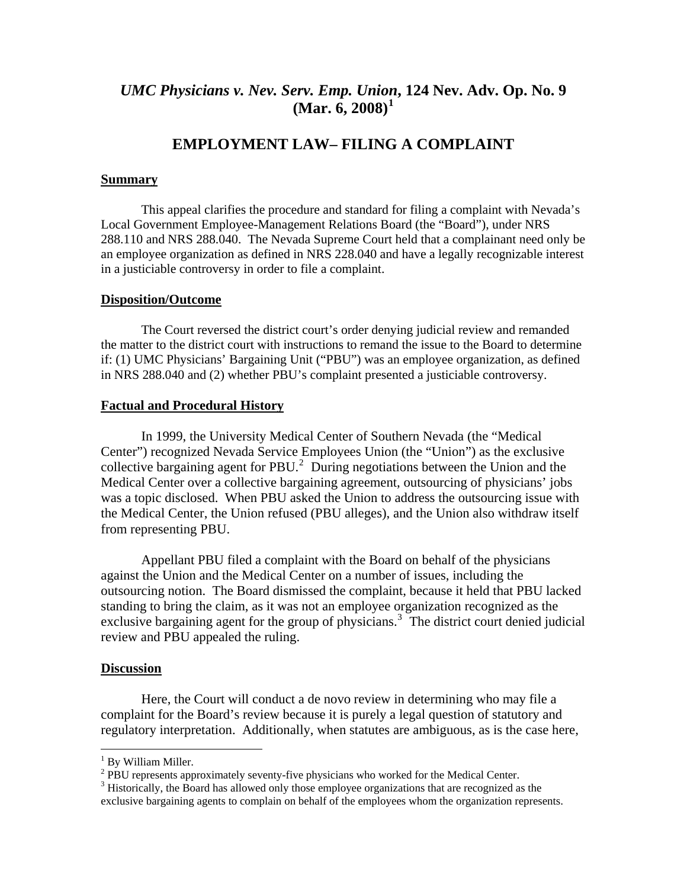# *UMC Physicians v. Nev. Serv. Emp. Unio[n](#page-1-0)***, 124 Nev. Adv. Op. No. 9 (Mar. 6, 2008)[1](#page-1-0)**

# **EMPLOYMENT LAW– FILING A COMPLAINT**

#### **Summary**

This appeal clarifies the procedure and standard for filing a complaint with Nevada's Local Government Employee-Management Relations Board (the "Board"), under NRS 288.110 and NRS 288.040. The Nevada Supreme Court held that a complainant need only be an employee organization as defined in NRS 228.040 and have a legally recognizable interest in a justiciable controversy in order to file a complaint.

#### **Disposition/Outcome**

The Court reversed the district court's order denying judicial review and remanded the matter to the district court with instructions to remand the issue to the Board to determine if: (1) UMC Physicians' Bargaining Unit ("PBU") was an employee organization, as defined in NRS 288.040 and (2) whether PBU's complaint presented a justiciable controversy.

#### **Factual and Procedural History**

 In 1999, the University Medical Center of Southern Nevada (the "Medical Center") recognized Nevada Service Employees Union (the "Union") as the exclusive collective bargaining agent for PBU. $^2$  $^2$  During negotiations between the Union and the Medical Center over a collective bargaining agreement, outsourcing of physicians' jobs was a topic disclosed. When PBU asked the Union to address the outsourcing issue with the Medical Center, the Union refused (PBU alleges), and the Union also withdraw itself from representing PBU.

Appellant PBU filed a complaint with the Board on behalf of the physicians against the Union and the Medical Center on a number of issues, including the outsourcing notion. The Board dismissed the complaint, because it held that PBU lacked standing to bring the claim, as it was not an employee organization recognized as the exclusive bargaining agent for the group of physicians.<sup>[3](#page-1-2)</sup> The district court denied judicial review and PBU appealed the ruling.

#### **Discussion**

 Here, the Court will conduct a de novo review in determining who may file a complaint for the Board's review because it is purely a legal question of statutory and regulatory interpretation. Additionally, when statutes are ambiguous, as is the case here,

<sup>&</sup>lt;sup>1</sup> By William Miller.

<span id="page-1-1"></span><span id="page-1-0"></span> $2$  PBU represents approximately seventy-five physicians who worked for the Medical Center.

<span id="page-1-2"></span> $3$  Historically, the Board has allowed only those employee organizations that are recognized as the exclusive bargaining agents to complain on behalf of the employees whom the organization represents.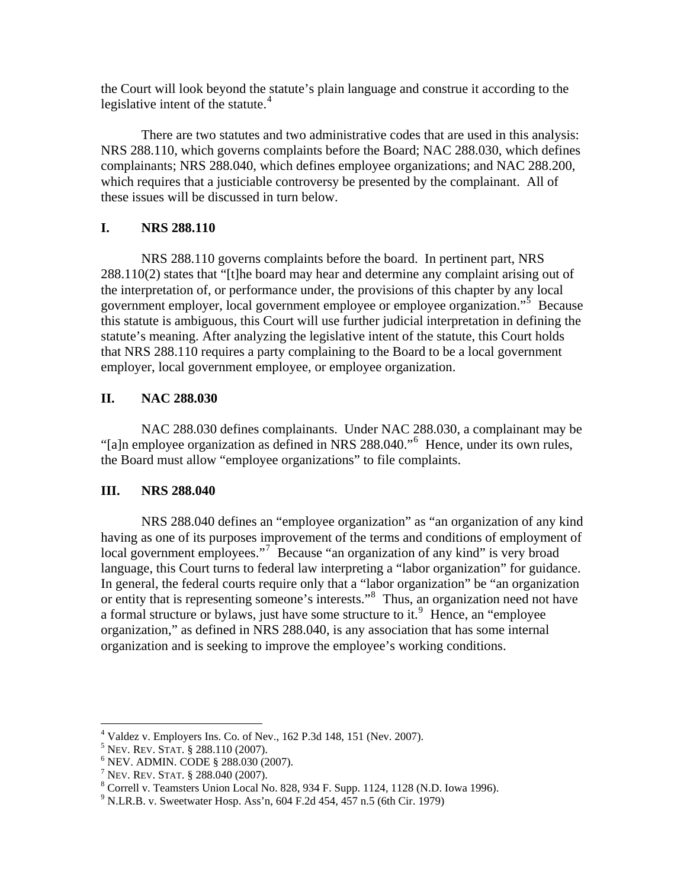the Court will look beyond the statute's plain language and construe it according to the legislative intent of the statute. $4$ 

 There are two statutes and two administrative codes that are used in this analysis: NRS 288.110, which governs complaints before the Board; NAC 288.030, which defines complainants; NRS 288.040, which defines employee organizations; and NAC 288.200, which requires that a justiciable controversy be presented by the complainant. All of these issues will be discussed in turn below.

## **I. NRS 288.110**

 NRS 288.110 governs complaints before the board. In pertinent part, NRS 288.110(2) states that "[t]he board may hear and determine any complaint arising out of the interpretation of, or performance under, the provisions of this chapter by any local government employer, local government employee or employee organization."<sup>[5](#page-2-1)</sup> Because this statute is ambiguous, this Court will use further judicial interpretation in defining the statute's meaning. After analyzing the legislative intent of the statute, this Court holds that NRS 288.110 requires a party complaining to the Board to be a local government employer, local government employee, or employee organization.

# **II. NAC 288.030**

NAC 288.030 defines complainants. Under NAC 288.030, a complainant may be "[a]n employee organization as defined in NRS 288.040."[6](#page-2-2) Hence, under its own rules, the Board must allow "employee organizations" to file complaints.

## **III. NRS 288.040**

 NRS 288.040 defines an "employee organization" as "an organization of any kind having as one of its purposes improvement of the terms and conditions of employment of local government employees."<sup>[7](#page-2-3)</sup> Because "an organization of any kind" is very broad language, this Court turns to federal law interpreting a "labor organization" for guidance. In general, the federal courts require only that a "labor organization" be "an organization or entity that is representing someone's interests."[8](#page-2-4) Thus, an organization need not have a formal structure or bylaws, just have some structure to it.<sup>[9](#page-2-5)</sup> Hence, an "employee" organization," as defined in NRS 288.040, is any association that has some internal organization and is seeking to improve the employee's working conditions.

 $\overline{a}$ 4 Valdez v. Employers Ins. Co. of Nev., 162 P.3d 148, 151 (Nev. 2007).

<span id="page-2-1"></span><span id="page-2-0"></span><sup>&</sup>lt;sup>5</sup> Nev. Rev. Stat. § 288.110 (2007).

<span id="page-2-2"></span><sup>&</sup>lt;sup>6</sup> NEV. ADMIN. CODE § 288.030 (2007).

<sup>&</sup>lt;sup>7</sup> NEV. REV. STAT.  $\S$  288.040 (2007).

<span id="page-2-4"></span><span id="page-2-3"></span>Correll v. Teamsters Union Local No. 828, 934 F. Supp. 1124, 1128 (N.D. Iowa 1996).

<span id="page-2-5"></span><sup>9</sup> N.LR.B. v. Sweetwater Hosp. Ass'n, 604 F.2d 454, 457 n.5 (6th Cir. 1979)